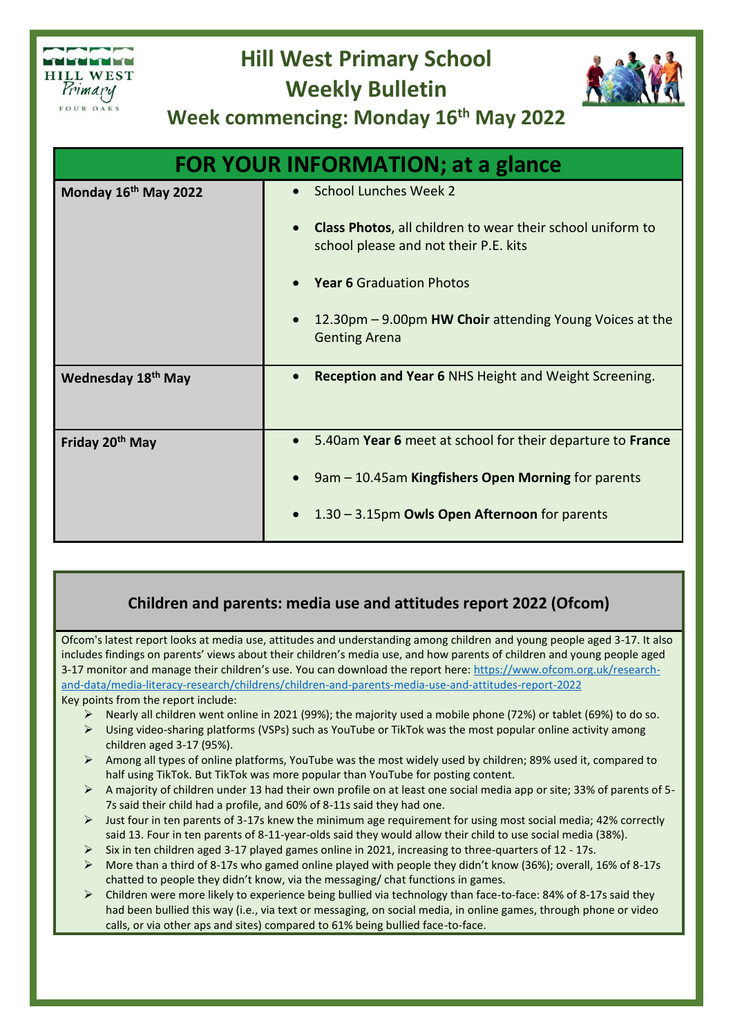

## **Hill West Primary School Weekly Bulletin**



**Week commencing: Monday 16th May 2022**

| <b>FOR YOUR INFORMATION; at a glance</b> |                                                                                                                         |
|------------------------------------------|-------------------------------------------------------------------------------------------------------------------------|
| Monday 16th May 2022                     | <b>School Lunches Week 2</b>                                                                                            |
|                                          | <b>Class Photos, all children to wear their school uniform to</b><br>$\bullet$<br>school please and not their P.E. kits |
|                                          | <b>Year 6 Graduation Photos</b>                                                                                         |
|                                          | 12.30pm - 9.00pm HW Choir attending Young Voices at the<br><b>Genting Arena</b>                                         |
| <b>Wednesday 18th May</b>                | <b>Reception and Year 6 NHS Height and Weight Screening.</b>                                                            |
| Friday 20 <sup>th</sup> May              | 5.40am Year 6 meet at school for their departure to France                                                              |
|                                          | 9am - 10.45am Kingfishers Open Morning for parents                                                                      |
|                                          | 1.30 - 3.15pm Owls Open Afternoon for parents                                                                           |

## **Children and parents: media use and attitudes report 2022 (Ofcom)**

Ofcom's latest report looks at media use, attitudes and understanding among children and young people aged 3-17. It also includes findings on parents' views about their children's media use, and how parents of children and young people aged 3-17 monitor and manage their children's use. You can download the report here: [https://www.ofcom.org.uk/research](https://eur03.safelinks.protection.outlook.com/?url=https%3A%2F%2Femail.kjbm.safeguardinginschools.co.uk%2Fc%2FeJyFUMtuwyAQ_Jr4UtnCBOxy4NCqrdRzPyBas0tMbIMFuFH-vuRRqbcKDqOBndkZWNeDh4X0BCcYXJ1yiGRj8DnVawy4meyCr2gBNx8cat4KxcqRqhq15FzZvuMCbNcJDgptb3jPsUdukVSVXKbHVC9b9ix5Nesx5zXt9i87_lHu-XxugjVhaUI8NttUqEiJIJqxBo81QobCLYQO6rnoRTCX-vdLeTGjmzGST3_wbXKFgkqM--iW6MZCzi5vSKlorCHmmjPOq4VSgiMdEnmkeMBQ8no9nYalSWDpuEFE54_OJzOGMKfGhLLroxak2X1TvFyTdr1g-553TFZOX6WZZHsmW9WKRtmOgRRGCitoaNlOsH8dIhm3upLjXqPibSdaIausv0oXT59vO77_0-59oXxZSb9f4WsMgAZSrqIeGjNDnKjYlprmM6XcDCMUfzNerVCjkGpgPw9ssts&data=05%7C01%7Ck.jones%40hillwest.bham.sch.uk%7C34cd9a791435457e9f1208da2cdf6a21%7C645473a262c54bab8a6d837c0d96587c%7C1%7C0%7C637871635324563492%7CUnknown%7CTWFpbGZsb3d8eyJWIjoiMC4wLjAwMDAiLCJQIjoiV2luMzIiLCJBTiI6Ik1haWwiLCJXVCI6Mn0%3D%7C3000%7C%7C%7C&sdata=VzJei5mJEzs5qYd7tHCabytMYBpSyVISbEMWZhuX4R4%3D&reserved=0)[and-data/media-literacy-research/childrens/children-and-parents-media-use-and-attitudes-report-2022](https://eur03.safelinks.protection.outlook.com/?url=https%3A%2F%2Femail.kjbm.safeguardinginschools.co.uk%2Fc%2FeJyFUMtuwyAQ_Jr4UtnCBOxy4NCqrdRzPyBas0tMbIMFuFH-vuRRqbcKDqOBndkZWNeDh4X0BCcYXJ1yiGRj8DnVawy4meyCr2gBNx8cat4KxcqRqhq15FzZvuMCbNcJDgptb3jPsUdukVSVXKbHVC9b9ix5Nesx5zXt9i87_lHu-XxugjVhaUI8NttUqEiJIJqxBo81QobCLYQO6rnoRTCX-vdLeTGjmzGST3_wbXKFgkqM--iW6MZCzi5vSKlorCHmmjPOq4VSgiMdEnmkeMBQ8no9nYalSWDpuEFE54_OJzOGMKfGhLLroxak2X1TvFyTdr1g-553TFZOX6WZZHsmW9WKRtmOgRRGCitoaNlOsH8dIhm3upLjXqPibSdaIausv0oXT59vO77_0-59oXxZSb9f4WsMgAZSrqIeGjNDnKjYlprmM6XcDCMUfzNerVCjkGpgPw9ssts&data=05%7C01%7Ck.jones%40hillwest.bham.sch.uk%7C34cd9a791435457e9f1208da2cdf6a21%7C645473a262c54bab8a6d837c0d96587c%7C1%7C0%7C637871635324563492%7CUnknown%7CTWFpbGZsb3d8eyJWIjoiMC4wLjAwMDAiLCJQIjoiV2luMzIiLCJBTiI6Ik1haWwiLCJXVCI6Mn0%3D%7C3000%7C%7C%7C&sdata=VzJei5mJEzs5qYd7tHCabytMYBpSyVISbEMWZhuX4R4%3D&reserved=0) Key points from the report include:

- Nearly all children went online in 2021 (99%); the majority used a mobile phone (72%) or tablet (69%) to do so.
- $\triangleright$  Using video-sharing platforms (VSPs) such as YouTube or TikTok was the most popular online activity among children aged 3-17 (95%).
- Among all types of online platforms, YouTube was the most widely used by children; 89% used it, compared to half using TikTok. But TikTok was more popular than YouTube for posting content.
- A majority of children under 13 had their own profile on at least one social media app or site; 33% of parents of 5- 7s said their child had a profile, and 60% of 8-11s said they had one.
- $\triangleright$  Just four in ten parents of 3-17s knew the minimum age requirement for using most social media; 42% correctly said 13. Four in ten parents of 8-11-year-olds said they would allow their child to use social media (38%).
- Six in ten children aged 3-17 played games online in 2021, increasing to three-quarters of 12 17s.
- More than a third of 8-17s who gamed online played with people they didn't know (36%); overall, 16% of 8-17s chatted to people they didn't know, via the messaging/ chat functions in games.
- Children were more likely to experience being bullied via technology than face-to-face: 84% of 8-17s said they had been bullied this way (i.e., via text or messaging, on social media, in online games, through phone or video calls, or via other aps and sites) compared to 61% being bullied face-to-face.